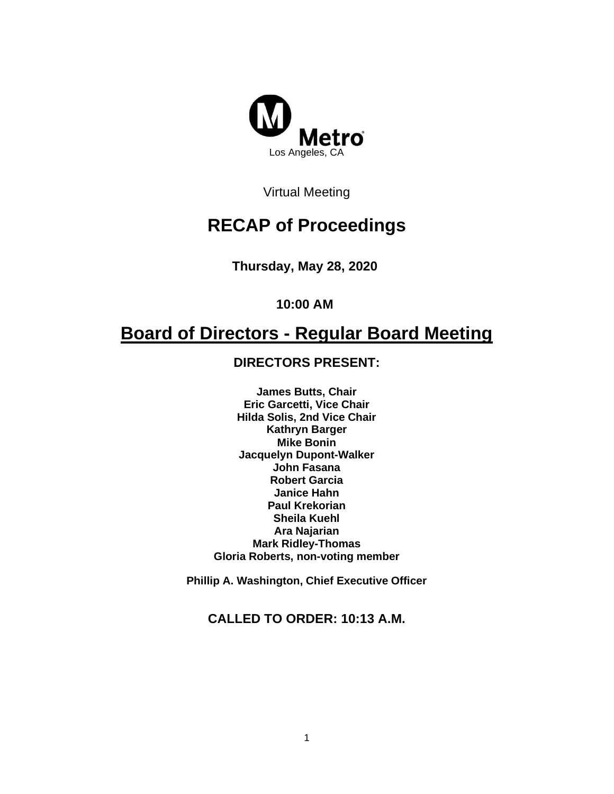

Virtual Meeting

# **RECAP of Proceedings**

**Thursday, May 28, 2020**

**10:00 AM**

# **Board of Directors - Regular Board Meeting**

# **DIRECTORS PRESENT:**

**James Butts, Chair Eric Garcetti, Vice Chair Hilda Solis, 2nd Vice Chair Kathryn Barger Mike Bonin Jacquelyn Dupont-Walker John Fasana Robert Garcia Janice Hahn Paul Krekorian Sheila Kuehl Ara Najarian Mark Ridley-Thomas Gloria Roberts, non-voting member**

**Phillip A. Washington, Chief Executive Officer**

# **CALLED TO ORDER: 10:13 A.M.**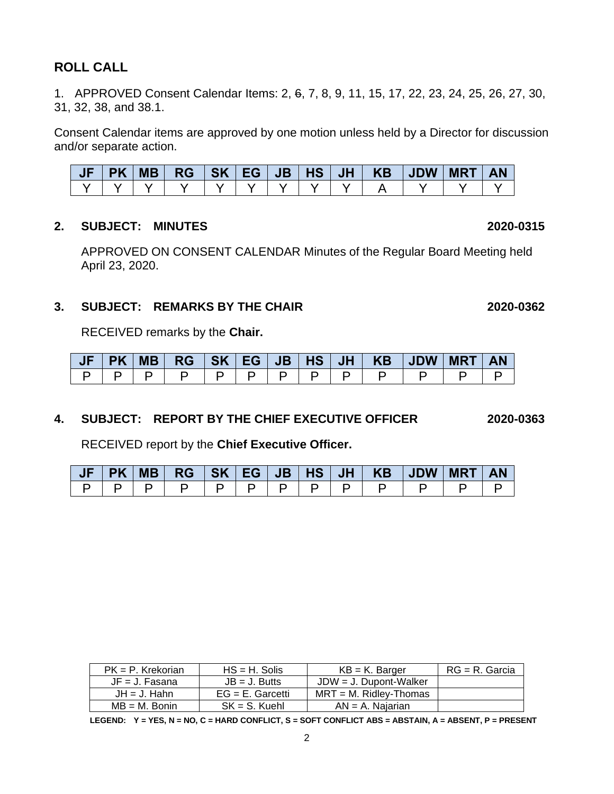# **ROLL CALL**

1. APPROVED Consent Calendar Items: 2, 6, 7, 8, 9, 11, 15, 17, 22, 23, 24, 25, 26, 27, 30, 31, 32, 38, and 38.1.

Consent Calendar items are approved by one motion unless held by a Director for discussion and/or separate action.

|  |  |  |  | JF PK MB  RG  SK EG JB HS  JH   KB  JDW  MRT   AN |  |  |
|--|--|--|--|---------------------------------------------------|--|--|
|  |  |  |  |                                                   |  |  |

#### **2. SUBJECT: MINUTES 2020-0315**

APPROVED ON CONSENT CALENDAR Minutes of the Regular Board Meeting held April 23, 2020.

#### **3. SUBJECT: REMARKS BY THE CHAIR 2020-0362**

RECEIVED remarks by the **Chair.**

|  |  |  |  |  | JF   PK   MB   RG   SK   EG   JB   HS   JH   KB   JDW   MRT   AN |  |
|--|--|--|--|--|------------------------------------------------------------------|--|
|  |  |  |  |  |                                                                  |  |

#### **4. SUBJECT: REPORT BY THE CHIEF EXECUTIVE OFFICER 2020-0363**

RECEIVED report by the **Chief Executive Officer.** 

|  |  |  |  |  | JF   PK   MB   RG   SK   EG   JB   HS   JH   KB   JDW   MRT   AN |  |
|--|--|--|--|--|------------------------------------------------------------------|--|
|  |  |  |  |  |                                                                  |  |

| $PK = P$ . Krekorian | $HS = H$ . Solis    | $KB = K$ . Barger         | $RG = R$ . Garcia |
|----------------------|---------------------|---------------------------|-------------------|
| $JF = J$ . Fasana    | $JB = J.$ Butts     | JDW = J. Dupont-Walker    |                   |
| $JH = J$ . Hahn      | $EG = E$ . Garcetti | $MRT = M$ . Ridlev-Thomas |                   |
| $MB = M$ . Bonin     | $SK = S$ . Kuehl    | $AN = A$ . Najarian       |                   |

**LEGEND: Y = YES, N = NO, C = HARD CONFLICT, S = SOFT CONFLICT ABS = ABSTAIN, A = ABSENT, P = PRESENT**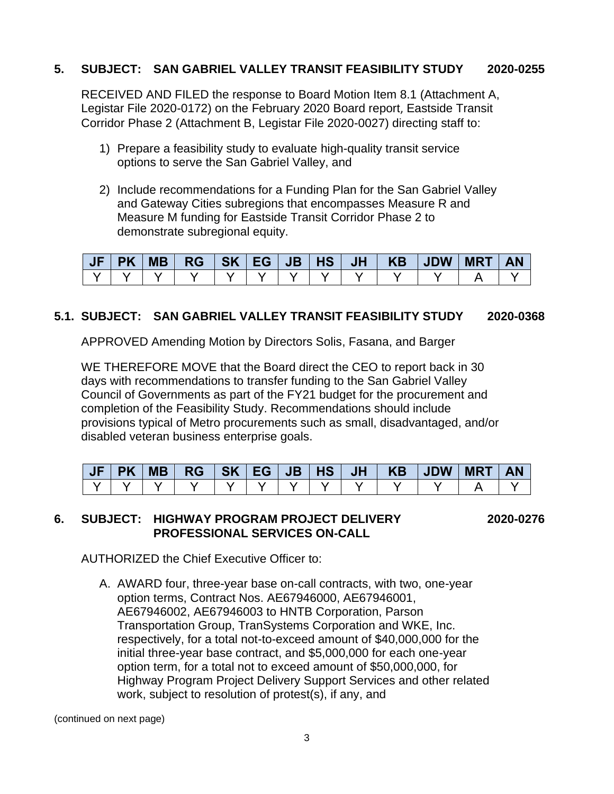# **5. SUBJECT: SAN GABRIEL VALLEY TRANSIT FEASIBILITY STUDY 2020-0255**

RECEIVED AND FILED the response to Board Motion Item 8.1 (Attachment A, Legistar File 2020-0172) on the February 2020 Board report, Eastside Transit Corridor Phase 2 (Attachment B, Legistar File 2020-0027) directing staff to:

- 1) Prepare a feasibility study to evaluate high-quality transit service options to serve the San Gabriel Valley, and
- 2) Include recommendations for a Funding Plan for the San Gabriel Valley and Gateway Cities subregions that encompasses Measure R and Measure M funding for Eastside Transit Corridor Phase 2 to demonstrate subregional equity.

| $JF$   PK |  |  |  |  |  |  |
|-----------|--|--|--|--|--|--|
|           |  |  |  |  |  |  |

# **5.1. SUBJECT: SAN GABRIEL VALLEY TRANSIT FEASIBILITY STUDY 2020-0368**

APPROVED Amending Motion by Directors Solis, Fasana, and Barger

WE THEREFORE MOVE that the Board direct the CEO to report back in 30 days with recommendations to transfer funding to the San Gabriel Valley Council of Governments as part of the FY21 budget for the procurement and completion of the Feasibility Study. Recommendations should include provisions typical of Metro procurements such as small, disadvantaged, and/or disabled veteran business enterprise goals.

| PK |  |  |  |  |  | <b>AN</b> |
|----|--|--|--|--|--|-----------|
|    |  |  |  |  |  |           |

#### **6. SUBJECT: HIGHWAY PROGRAM PROJECT DELIVERY 2020-0276 PROFESSIONAL SERVICES ON-CALL**

AUTHORIZED the Chief Executive Officer to:

A. AWARD four, three-year base on-call contracts, with two, one-year option terms, Contract Nos. AE67946000, AE67946001, AE67946002, AE67946003 to HNTB Corporation, Parson Transportation Group, TranSystems Corporation and WKE, Inc. respectively, for a total not-to-exceed amount of \$40,000,000 for the initial three-year base contract, and \$5,000,000 for each one-year option term, for a total not to exceed amount of \$50,000,000, for Highway Program Project Delivery Support Services and other related work, subject to resolution of protest(s), if any, and

(continued on next page)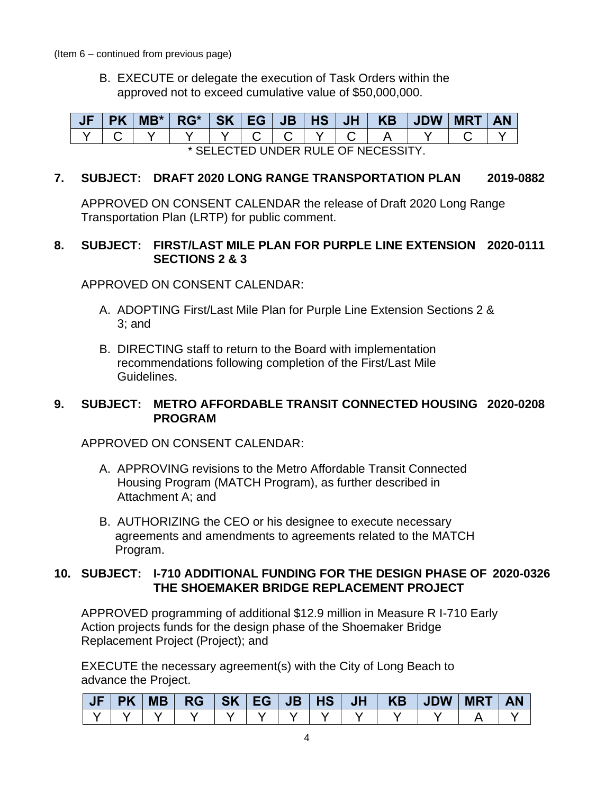(Item 6 – continued from previous page)

B. EXECUTE or delegate the execution of Task Orders within the approved not to exceed cumulative value of \$50,000,000.

| <b>JF</b>                           |  | $MB^*$ | $RG^*$   SK   EG   JB   HS   JH |  |  |  |  |  | KB JDW |  | <b>MRT</b> |  |
|-------------------------------------|--|--------|---------------------------------|--|--|--|--|--|--------|--|------------|--|
|                                     |  |        |                                 |  |  |  |  |  |        |  |            |  |
| * SELECTED UNDER RULE OF NECESSITY. |  |        |                                 |  |  |  |  |  |        |  |            |  |

#### **7. SUBJECT: DRAFT 2020 LONG RANGE TRANSPORTATION PLAN 2019-0882**

APPROVED ON CONSENT CALENDAR the release of Draft 2020 Long Range Transportation Plan (LRTP) for public comment.

# **8. SUBJECT: FIRST/LAST MILE PLAN FOR PURPLE LINE EXTENSION 2020-0111 SECTIONS 2 & 3**

APPROVED ON CONSENT CALENDAR:

- A. ADOPTING First/Last Mile Plan for Purple Line Extension Sections 2 & 3; and
- B. DIRECTING staff to return to the Board with implementation recommendations following completion of the First/Last Mile Guidelines.

# **9. SUBJECT: METRO AFFORDABLE TRANSIT CONNECTED HOUSING 2020-0208 PROGRAM**

APPROVED ON CONSENT CALENDAR:

- A. APPROVING revisions to the Metro Affordable Transit Connected Housing Program (MATCH Program), as further described in Attachment A; and
- B. AUTHORIZING the CEO or his designee to execute necessary agreements and amendments to agreements related to the MATCH Program.

# **10. SUBJECT: I-710 ADDITIONAL FUNDING FOR THE DESIGN PHASE OF 2020-0326 THE SHOEMAKER BRIDGE REPLACEMENT PROJECT**

APPROVED programming of additional \$12.9 million in Measure R I-710 Early Action projects funds for the design phase of the Shoemaker Bridge Replacement Project (Project); and

EXECUTE the necessary agreement(s) with the City of Long Beach to advance the Project.

| <b>NUE</b> | <b>PK</b> | <b>MB</b> | $RG$ $SK$ $EG$ $JB$ $HS$ |  |  |  | JH   KB   JDW | <b>MRT</b> | <b>AN</b> |
|------------|-----------|-----------|--------------------------|--|--|--|---------------|------------|-----------|
|            |           |           |                          |  |  |  |               |            |           |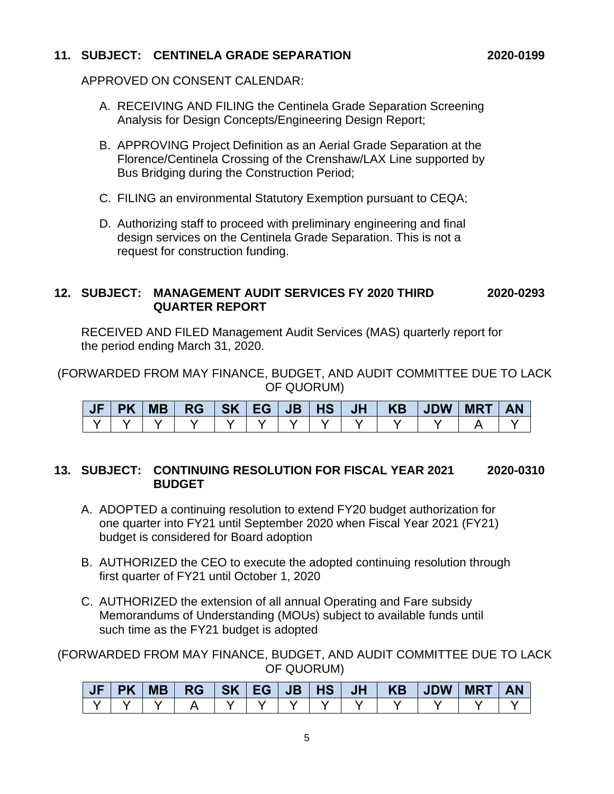# **11. SUBJECT: CENTINELA GRADE SEPARATION 2020-0199**

APPROVED ON CONSENT CALENDAR:

- A. RECEIVING AND FILING the Centinela Grade Separation Screening Analysis for Design Concepts/Engineering Design Report;
- B. APPROVING Project Definition as an Aerial Grade Separation at the Florence/Centinela Crossing of the Crenshaw/LAX Line supported by Bus Bridging during the Construction Period;
- C. FILING an environmental Statutory Exemption pursuant to CEQA;
- D. Authorizing staff to proceed with preliminary engineering and final design services on the Centinela Grade Separation. This is not a request for construction funding.

#### **12. SUBJECT: MANAGEMENT AUDIT SERVICES FY 2020 THIRD 2020-0293 QUARTER REPORT**

RECEIVED AND FILED Management Audit Services (MAS) quarterly report for the period ending March 31, 2020.

(FORWARDED FROM MAY FINANCE, BUDGET, AND AUDIT COMMITTEE DUE TO LACK OF QUORUM)

| <b>JF</b> | <b>PK</b> | MB |  |  |  |  | $RG$ $SK$ $EG$ $JB$ $HS$ $JH$ $KB$ $JDW$ $MRT$ $AN$ |  |
|-----------|-----------|----|--|--|--|--|-----------------------------------------------------|--|
|           |           |    |  |  |  |  |                                                     |  |

#### **13. SUBJECT: CONTINUING RESOLUTION FOR FISCAL YEAR 2021 2020-0310 BUDGET**

- A. ADOPTED a continuing resolution to extend FY20 budget authorization for one quarter into FY21 until September 2020 when Fiscal Year 2021 (FY21) budget is considered for Board adoption
- B. AUTHORIZED the CEO to execute the adopted continuing resolution through first quarter of FY21 until October 1, 2020
- C. AUTHORIZED the extension of all annual Operating and Fare subsidy Memorandums of Understanding (MOUs) subject to available funds until such time as the FY21 budget is adopted

(FORWARDED FROM MAY FINANCE, BUDGET, AND AUDIT COMMITTEE DUE TO LACK OF QUORUM)

| <b>PK</b> | <b>MB</b> | <b>RG</b> | <b>SK</b> | EG | $\overline{\mathbf{J}}\mathbf{B}'$ | <b>HS</b> | <b>JH</b> | <b>KB</b> | <b>JDW</b> | <b>MRT</b> | AN |
|-----------|-----------|-----------|-----------|----|------------------------------------|-----------|-----------|-----------|------------|------------|----|
|           |           |           |           |    |                                    |           |           |           |            |            |    |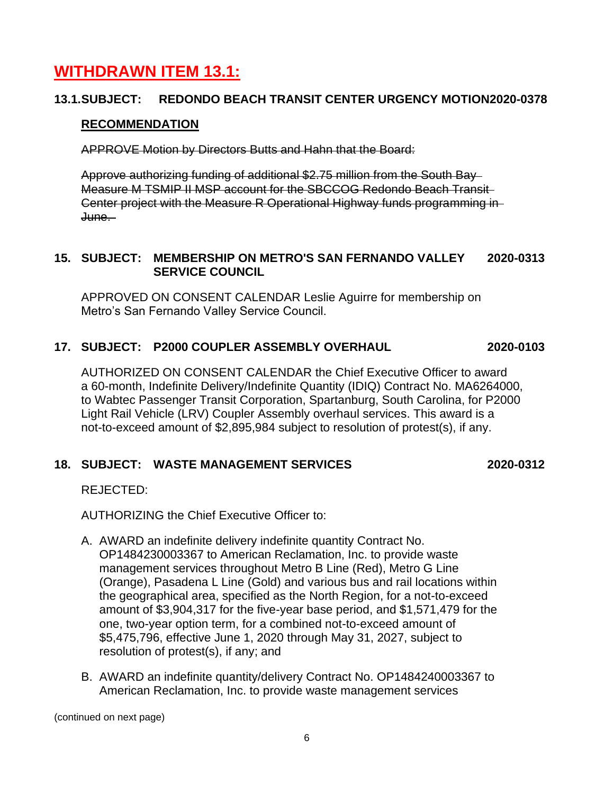# **WITHDRAWN ITEM 13.1:**

# **13.1.SUBJECT: REDONDO BEACH TRANSIT CENTER URGENCY MOTION2020-0378**

# **RECOMMENDATION**

APPROVE Motion by Directors Butts and Hahn that the Board:

Approve authorizing funding of additional \$2.75 million from the South Bay Measure M TSMIP II MSP account for the SBCCOG Redondo Beach Transit Center project with the Measure R Operational Highway funds programming in June.

# **15. SUBJECT: MEMBERSHIP ON METRO'S SAN FERNANDO VALLEY 2020-0313 SERVICE COUNCIL**

APPROVED ON CONSENT CALENDAR Leslie Aguirre for membership on Metro's San Fernando Valley Service Council.

# **17. SUBJECT: P2000 COUPLER ASSEMBLY OVERHAUL 2020-0103**

AUTHORIZED ON CONSENT CALENDAR the Chief Executive Officer to award a 60-month, Indefinite Delivery/Indefinite Quantity (IDIQ) Contract No. MA6264000, to Wabtec Passenger Transit Corporation, Spartanburg, South Carolina, for P2000 Light Rail Vehicle (LRV) Coupler Assembly overhaul services. This award is a not-to-exceed amount of \$2,895,984 subject to resolution of protest(s), if any.

# **18. SUBJECT: WASTE MANAGEMENT SERVICES 2020-0312**

REJECTED:

AUTHORIZING the Chief Executive Officer to:

- A. AWARD an indefinite delivery indefinite quantity Contract No. OP1484230003367 to American Reclamation, Inc. to provide waste management services throughout Metro B Line (Red), Metro G Line (Orange), Pasadena L Line (Gold) and various bus and rail locations within the geographical area, specified as the North Region, for a not-to-exceed amount of \$3,904,317 for the five-year base period, and \$1,571,479 for the one, two-year option term, for a combined not-to-exceed amount of \$5,475,796, effective June 1, 2020 through May 31, 2027, subject to resolution of protest(s), if any; and
- B. AWARD an indefinite quantity/delivery Contract No. OP1484240003367 to American Reclamation, Inc. to provide waste management services

(continued on next page)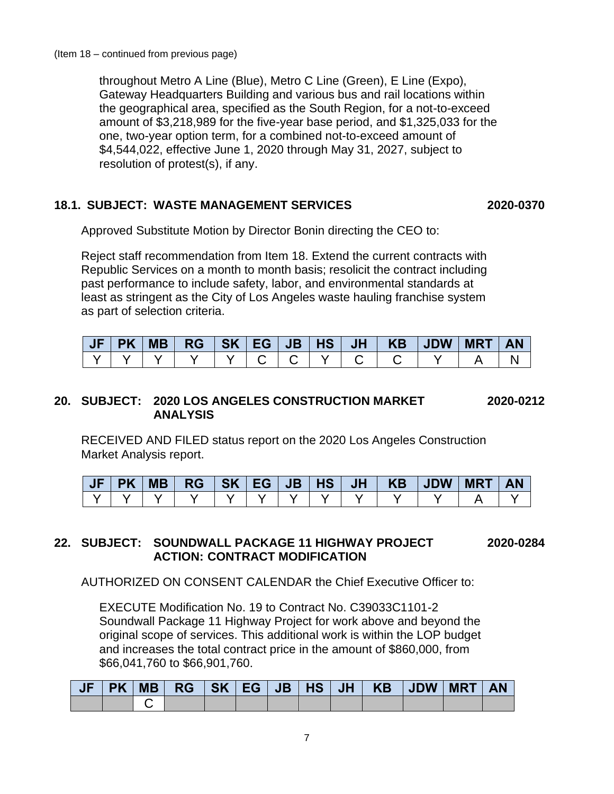throughout Metro A Line (Blue), Metro C Line (Green), E Line (Expo), Gateway Headquarters Building and various bus and rail locations within the geographical area, specified as the South Region, for a not-to-exceed amount of \$3,218,989 for the five-year base period, and \$1,325,033 for the one, two-year option term, for a combined not-to-exceed amount of \$4,544,022, effective June 1, 2020 through May 31, 2027, subject to resolution of protest(s), if any.

# **18.1. SUBJECT: WASTE MANAGEMENT SERVICES 2020-0370**

Approved Substitute Motion by Director Bonin directing the CEO to:

Reject staff recommendation from Item 18. Extend the current contracts with Republic Services on a month to month basis; resolicit the contract including past performance to include safety, labor, and environmental standards at least as stringent as the City of Los Angeles waste hauling franchise system as part of selection criteria.

|  | <b>MB</b> |  |  |  | $RG$ $SK$ $EG$ $JB$ $HS$ $JH$ $KB$ $JDW$ | <b>MRT</b> | <b>AN</b> |
|--|-----------|--|--|--|------------------------------------------|------------|-----------|
|  |           |  |  |  |                                          |            |           |

# **20. SUBJECT: 2020 LOS ANGELES CONSTRUCTION MARKET 2020-0212 ANALYSIS**

RECEIVED AND FILED status report on the 2020 Los Angeles Construction Market Analysis report.

| <b>PK</b> | <b>MB</b> | <b>RG</b> | 'SK | l EG I | JB | <b>HS</b> | <b>JH</b> | <b>KB</b> | <b>JDW</b> | <b>MRT</b> | AN |
|-----------|-----------|-----------|-----|--------|----|-----------|-----------|-----------|------------|------------|----|
|           |           |           |     |        |    |           |           |           |            |            |    |

# **22. SUBJECT: SOUNDWALL PACKAGE 11 HIGHWAY PROJECT 2020-0284 ACTION: CONTRACT MODIFICATION**

AUTHORIZED ON CONSENT CALENDAR the Chief Executive Officer to:

EXECUTE Modification No. 19 to Contract No. C39033C1101-2 Soundwall Package 11 Highway Project for work above and beyond the original scope of services. This additional work is within the LOP budget and increases the total contract price in the amount of \$860,000, from \$66,041,760 to \$66,901,760.

|  |  |  |  | 「JF   PK   MB   RG   SK   EG   JB   HS   JH   KB   JDW   MRT   AN |  |  |
|--|--|--|--|-------------------------------------------------------------------|--|--|
|  |  |  |  |                                                                   |  |  |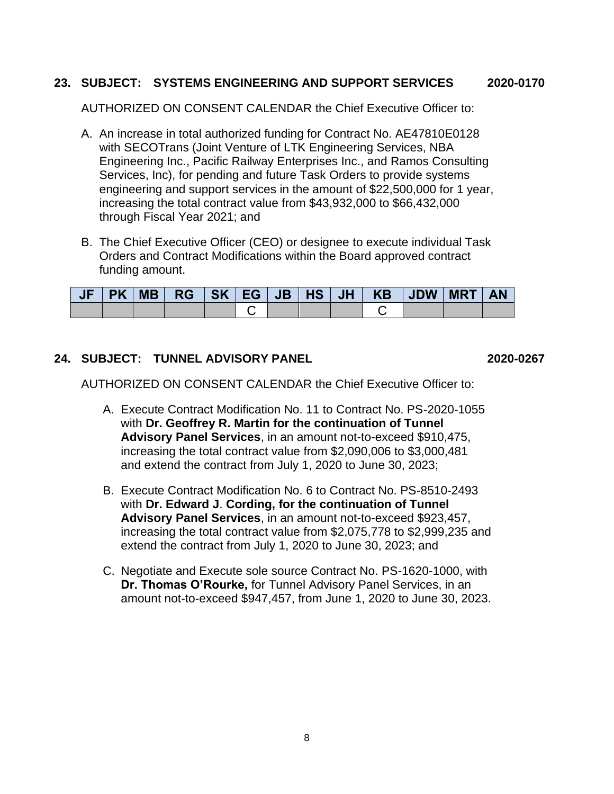# **23. SUBJECT: SYSTEMS ENGINEERING AND SUPPORT SERVICES 2020-0170**

AUTHORIZED ON CONSENT CALENDAR the Chief Executive Officer to:

- A. An increase in total authorized funding for Contract No. AE47810E0128 with SECOTrans (Joint Venture of LTK Engineering Services, NBA Engineering Inc., Pacific Railway Enterprises Inc., and Ramos Consulting Services, Inc), for pending and future Task Orders to provide systems engineering and support services in the amount of \$22,500,000 for 1 year, increasing the total contract value from \$43,932,000 to \$66,432,000 through Fiscal Year 2021; and
- B. The Chief Executive Officer (CEO) or designee to execute individual Task Orders and Contract Modifications within the Board approved contract funding amount.

| PK | MB |  |  |  | RG   SK   EG   JB   HS   JH   KB   JDW   MRT |  | <b>AN</b> |
|----|----|--|--|--|----------------------------------------------|--|-----------|
|    |    |  |  |  |                                              |  |           |

# **24. SUBJECT: TUNNEL ADVISORY PANEL 2020-0267**

AUTHORIZED ON CONSENT CALENDAR the Chief Executive Officer to:

- A. Execute Contract Modification No. 11 to Contract No. PS-2020-1055 with **Dr. Geoffrey R. Martin for the continuation of Tunnel Advisory Panel Services**, in an amount not-to-exceed \$910,475, increasing the total contract value from \$2,090,006 to \$3,000,481 and extend the contract from July 1, 2020 to June 30, 2023;
- B. Execute Contract Modification No. 6 to Contract No. PS-8510-2493 with **Dr. Edward J**. **Cording, for the continuation of Tunnel Advisory Panel Services**, in an amount not-to-exceed \$923,457, increasing the total contract value from \$2,075,778 to \$2,999,235 and extend the contract from July 1, 2020 to June 30, 2023; and
- C. Negotiate and Execute sole source Contract No. PS-1620-1000, with **Dr. Thomas O'Rourke,** for Tunnel Advisory Panel Services, in an amount not-to-exceed \$947,457, from June 1, 2020 to June 30, 2023.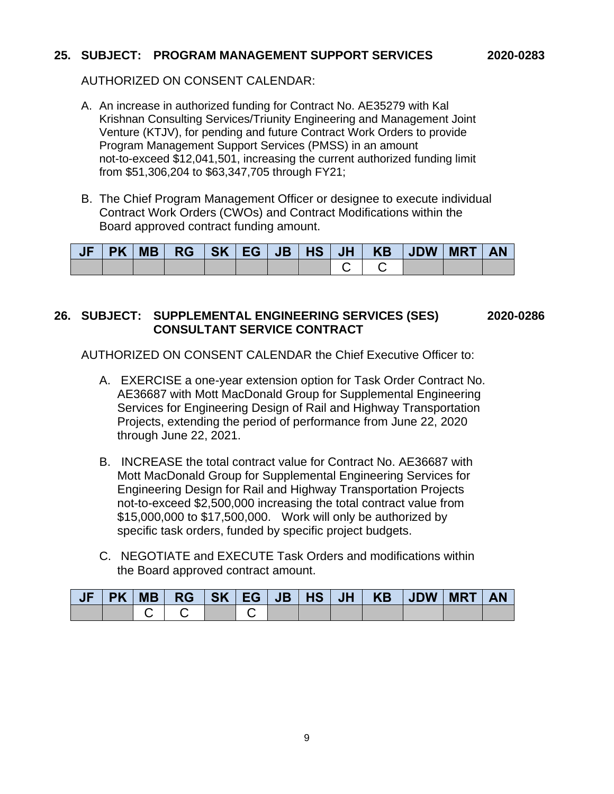#### **25. SUBJECT: PROGRAM MANAGEMENT SUPPORT SERVICES 2020-0283**

AUTHORIZED ON CONSENT CALENDAR:

- A. An increase in authorized funding for Contract No. AE35279 with Kal Krishnan Consulting Services/Triunity Engineering and Management Joint Venture (KTJV), for pending and future Contract Work Orders to provide Program Management Support Services (PMSS) in an amount not-to-exceed \$12,041,501, increasing the current authorized funding limit from \$51,306,204 to \$63,347,705 through FY21;
- B. The Chief Program Management Officer or designee to execute individual Contract Work Orders (CWOs) and Contract Modifications within the Board approved contract funding amount.

| <b>JF</b> |  |  |  |  | PK   MB   RG   SK   EG   JB   HS   JH   KB   JDW   MRT   AN |  |
|-----------|--|--|--|--|-------------------------------------------------------------|--|
|           |  |  |  |  |                                                             |  |

#### **26. SUBJECT: SUPPLEMENTAL ENGINEERING SERVICES (SES) 2020-0286 CONSULTANT SERVICE CONTRACT**

AUTHORIZED ON CONSENT CALENDAR the Chief Executive Officer to:

- A. EXERCISE a one-year extension option for Task Order Contract No. AE36687 with Mott MacDonald Group for Supplemental Engineering Services for Engineering Design of Rail and Highway Transportation Projects, extending the period of performance from June 22, 2020 through June 22, 2021.
- B. INCREASE the total contract value for Contract No. AE36687 with Mott MacDonald Group for Supplemental Engineering Services for Engineering Design for Rail and Highway Transportation Projects not-to-exceed \$2,500,000 increasing the total contract value from \$15,000,000 to \$17,500,000. Work will only be authorized by specific task orders, funded by specific project budgets.
- C. NEGOTIATE and EXECUTE Task Orders and modifications within the Board approved contract amount.

|  |  |  |  | JF PK MB  RG  SK EG JB HS  JH   KB  JDW  MRT   AN |  |  |
|--|--|--|--|---------------------------------------------------|--|--|
|  |  |  |  |                                                   |  |  |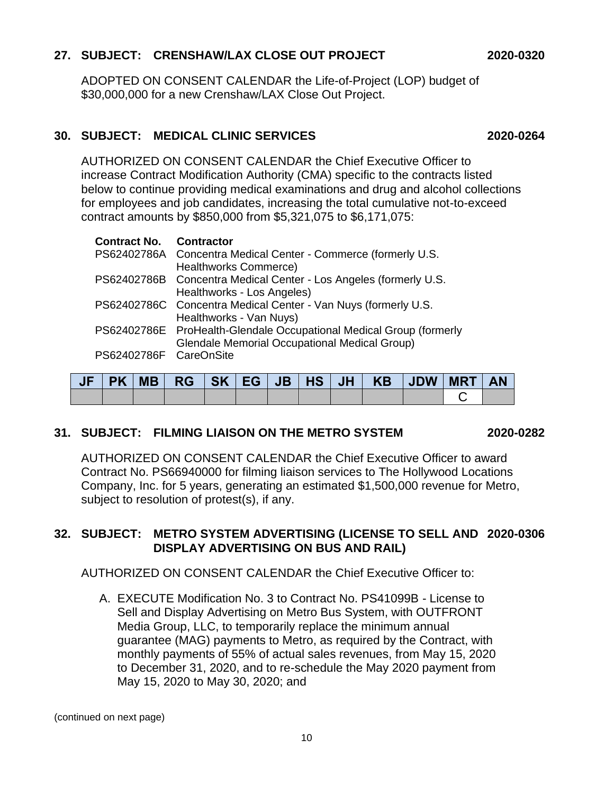# **27. SUBJECT: CRENSHAW/LAX CLOSE OUT PROJECT 2020-0320**

ADOPTED ON CONSENT CALENDAR the Life-of-Project (LOP) budget of \$30,000,000 for a new Crenshaw/LAX Close Out Project.

#### **30. SUBJECT: MEDICAL CLINIC SERVICES 2020-0264**

AUTHORIZED ON CONSENT CALENDAR the Chief Executive Officer to increase Contract Modification Authority (CMA) specific to the contracts listed below to continue providing medical examinations and drug and alcohol collections for employees and job candidates, increasing the total cumulative not-to-exceed contract amounts by \$850,000 from \$5,321,075 to \$6,171,075:

| <b>Contract No. Contractor</b> |                                                                                                                             |
|--------------------------------|-----------------------------------------------------------------------------------------------------------------------------|
|                                | PS62402786A Concentra Medical Center - Commerce (formerly U.S.<br>Healthworks Commerce)                                     |
|                                | PS62402786B Concentra Medical Center - Los Angeles (formerly U.S.<br>Healthworks - Los Angeles)                             |
|                                | PS62402786C Concentra Medical Center - Van Nuys (formerly U.S.<br>Healthworks - Van Nuys)                                   |
|                                | PS62402786E ProHealth-Glendale Occupational Medical Group (formerly<br><b>Glendale Memorial Occupational Medical Group)</b> |
| PS62402786F CareOnSite         |                                                                                                                             |

|  |  |  |  | JF   PK   MB   RG   SK   EG   JB   HS   JH   KB   JDW   MRT |  | <b>AN</b> |
|--|--|--|--|-------------------------------------------------------------|--|-----------|
|  |  |  |  |                                                             |  |           |

# **31. SUBJECT: FILMING LIAISON ON THE METRO SYSTEM 2020-0282**

AUTHORIZED ON CONSENT CALENDAR the Chief Executive Officer to award Contract No. PS66940000 for filming liaison services to The Hollywood Locations Company, Inc. for 5 years, generating an estimated \$1,500,000 revenue for Metro, subject to resolution of protest(s), if any.

# **32. SUBJECT: METRO SYSTEM ADVERTISING (LICENSE TO SELL AND 2020-0306 DISPLAY ADVERTISING ON BUS AND RAIL)**

AUTHORIZED ON CONSENT CALENDAR the Chief Executive Officer to:

A. EXECUTE Modification No. 3 to Contract No. PS41099B - License to Sell and Display Advertising on Metro Bus System, with OUTFRONT Media Group, LLC, to temporarily replace the minimum annual guarantee (MAG) payments to Metro, as required by the Contract, with monthly payments of 55% of actual sales revenues, from May 15, 2020 to December 31, 2020, and to re-schedule the May 2020 payment from May 15, 2020 to May 30, 2020; and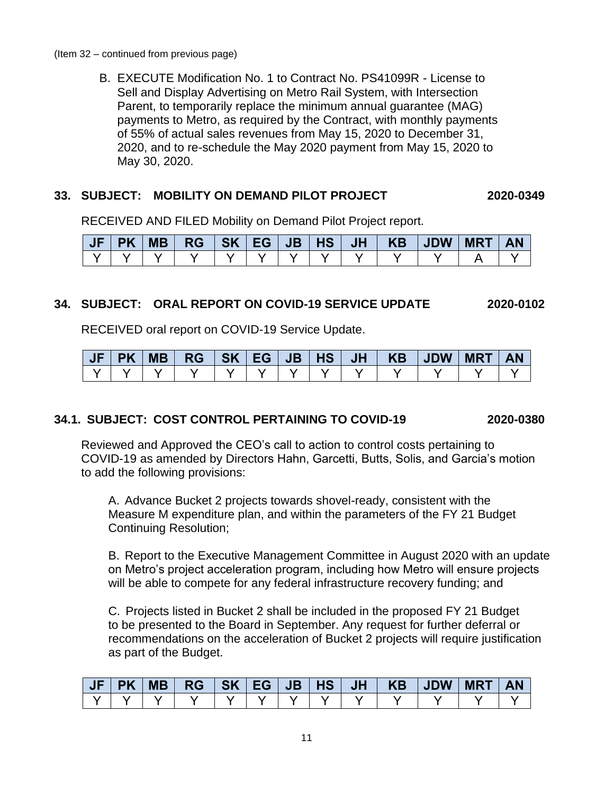B. EXECUTE Modification No. 1 to Contract No. PS41099R - License to Sell and Display Advertising on Metro Rail System, with Intersection Parent, to temporarily replace the minimum annual guarantee (MAG) payments to Metro, as required by the Contract, with monthly payments of 55% of actual sales revenues from May 15, 2020 to December 31, 2020, and to re-schedule the May 2020 payment from May 15, 2020 to May 30, 2020.

# **33. SUBJECT: MOBILITY ON DEMAND PILOT PROJECT 2020-0349**

RECEIVED AND FILED Mobility on Demand Pilot Project report.

| JF |  |  |  |  |  | PK   MB   RG   SK   EG   JB   HS   JH   KB   JDW   MRT |  |
|----|--|--|--|--|--|--------------------------------------------------------|--|
|    |  |  |  |  |  |                                                        |  |

# **34. SUBJECT: ORAL REPORT ON COVID-19 SERVICE UPDATE 2020-0102**

RECEIVED oral report on COVID-19 Service Update.

| JF | <b>PK</b> | <b>MB</b> | <b>RG</b> |  |  | $/$ JH $\,$ $/$ | KB JDW | <b>MRT</b> | <b>AN</b> |
|----|-----------|-----------|-----------|--|--|-----------------|--------|------------|-----------|
|    |           |           |           |  |  |                 |        |            |           |

# **34.1. SUBJECT: COST CONTROL PERTAINING TO COVID-19 2020-0380**

Reviewed and Approved the CEO's call to action to control costs pertaining to COVID-19 as amended by Directors Hahn, Garcetti, Butts, Solis, and Garcia's motion to add the following provisions:

A. Advance Bucket 2 projects towards shovel-ready, consistent with the Measure M expenditure plan, and within the parameters of the FY 21 Budget Continuing Resolution;

B. Report to the Executive Management Committee in August 2020 with an update on Metro's project acceleration program, including how Metro will ensure projects will be able to compete for any federal infrastructure recovery funding; and

C. Projects listed in Bucket 2 shall be included in the proposed FY 21 Budget to be presented to the Board in September. Any request for further deferral or recommendations on the acceleration of Bucket 2 projects will require justification as part of the Budget.

| JF | <b>PK</b> | <b>MB</b> | $RG$   SK   EG |  | $\overline{\mathsf{J}}$ B $\overline{\mathsf{H}}$ S $\overline{\mathsf{I}}$ | JH | KB | <b>JDW</b> | <b>MRT</b> | <b>AN</b> |
|----|-----------|-----------|----------------|--|-----------------------------------------------------------------------------|----|----|------------|------------|-----------|
|    |           |           |                |  |                                                                             |    |    |            |            |           |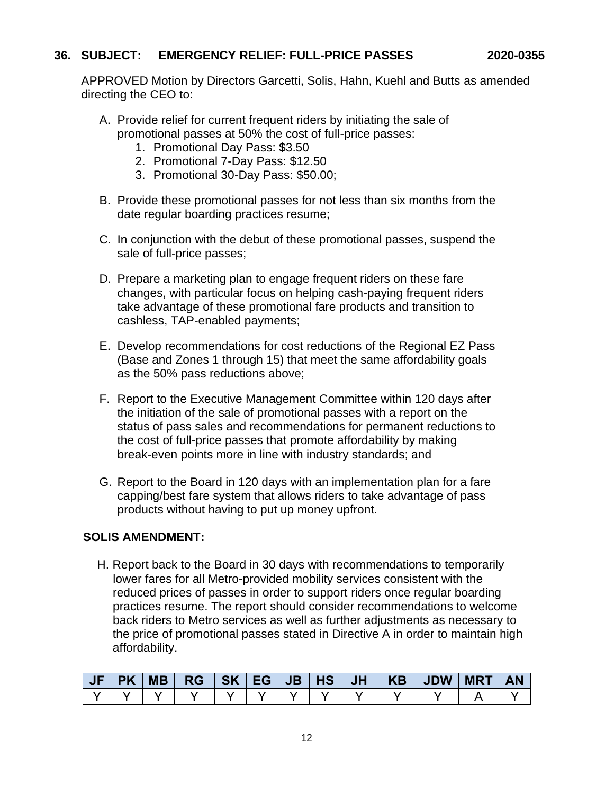# **36. SUBJECT: EMERGENCY RELIEF: FULL-PRICE PASSES 2020-0355**

APPROVED Motion by Directors Garcetti, Solis, Hahn, Kuehl and Butts as amended directing the CEO to:

- A. Provide relief for current frequent riders by initiating the sale of promotional passes at 50% the cost of full-price passes:
	- 1. Promotional Day Pass: \$3.50
	- 2. Promotional 7-Day Pass: \$12.50
	- 3. Promotional 30-Day Pass: \$50.00;
- B. Provide these promotional passes for not less than six months from the date regular boarding practices resume;
- C. In conjunction with the debut of these promotional passes, suspend the sale of full-price passes;
- D. Prepare a marketing plan to engage frequent riders on these fare changes, with particular focus on helping cash-paying frequent riders take advantage of these promotional fare products and transition to cashless, TAP-enabled payments;
- E. Develop recommendations for cost reductions of the Regional EZ Pass (Base and Zones 1 through 15) that meet the same affordability goals as the 50% pass reductions above;
- F. Report to the Executive Management Committee within 120 days after the initiation of the sale of promotional passes with a report on the status of pass sales and recommendations for permanent reductions to the cost of full-price passes that promote affordability by making break-even points more in line with industry standards; and
- G. Report to the Board in 120 days with an implementation plan for a fare capping/best fare system that allows riders to take advantage of pass products without having to put up money upfront.

# **SOLIS AMENDMENT:**

 H. Report back to the Board in 30 days with recommendations to temporarily lower fares for all Metro-provided mobility services consistent with the reduced prices of passes in order to support riders once regular boarding practices resume. The report should consider recommendations to welcome back riders to Metro services as well as further adjustments as necessary to the price of promotional passes stated in Directive A in order to maintain high affordability.

| <b>AIF</b> | <b>PK</b> | <b>MB</b> | $RG$   SK   EG |  |  |  | <b>MRT</b> | <b>AN</b> |
|------------|-----------|-----------|----------------|--|--|--|------------|-----------|
|            |           |           |                |  |  |  |            |           |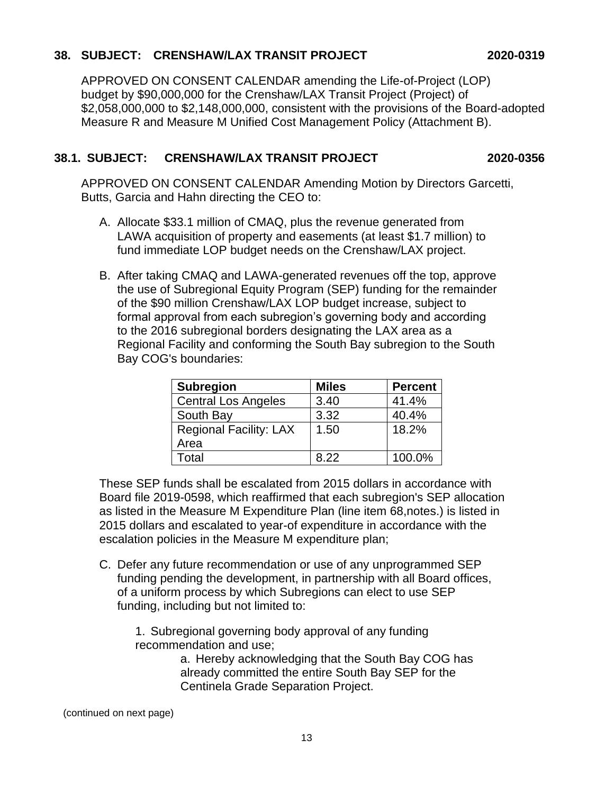# **38. SUBJECT: CRENSHAW/LAX TRANSIT PROJECT 2020-0319**

APPROVED ON CONSENT CALENDAR amending the Life-of-Project (LOP) budget by \$90,000,000 for the Crenshaw/LAX Transit Project (Project) of \$2,058,000,000 to \$2,148,000,000, consistent with the provisions of the Board-adopted Measure R and Measure M Unified Cost Management Policy (Attachment B).

# **38.1. SUBJECT: CRENSHAW/LAX TRANSIT PROJECT 2020-0356**

APPROVED ON CONSENT CALENDAR Amending Motion by Directors Garcetti, Butts, Garcia and Hahn directing the CEO to:

- A. Allocate \$33.1 million of CMAQ, plus the revenue generated from LAWA acquisition of property and easements (at least \$1.7 million) to fund immediate LOP budget needs on the Crenshaw/LAX project.
- B. After taking CMAQ and LAWA-generated revenues off the top, approve the use of Subregional Equity Program (SEP) funding for the remainder of the \$90 million Crenshaw/LAX LOP budget increase, subject to formal approval from each subregion's governing body and according to the 2016 subregional borders designating the LAX area as a Regional Facility and conforming the South Bay subregion to the South Bay COG's boundaries:

| <b>Subregion</b>              | <b>Miles</b> | <b>Percent</b> |
|-------------------------------|--------------|----------------|
| <b>Central Los Angeles</b>    | 3.40         | 41.4%          |
| South Bay                     | 3.32         | 40.4%          |
| <b>Regional Facility: LAX</b> | 1.50         | 18.2%          |
| Area                          |              |                |
| Total                         | 8.22         | 100.0%         |

These SEP funds shall be escalated from 2015 dollars in accordance with Board file 2019-0598, which reaffirmed that each subregion's SEP allocation as listed in the Measure M Expenditure Plan (line item 68,notes.) is listed in 2015 dollars and escalated to year-of expenditure in accordance with the escalation policies in the Measure M expenditure plan;

C. Defer any future recommendation or use of any unprogrammed SEP funding pending the development, in partnership with all Board offices, of a uniform process by which Subregions can elect to use SEP funding, including but not limited to:

1. Subregional governing body approval of any funding recommendation and use;

> a. Hereby acknowledging that the South Bay COG has already committed the entire South Bay SEP for the Centinela Grade Separation Project.

(continued on next page)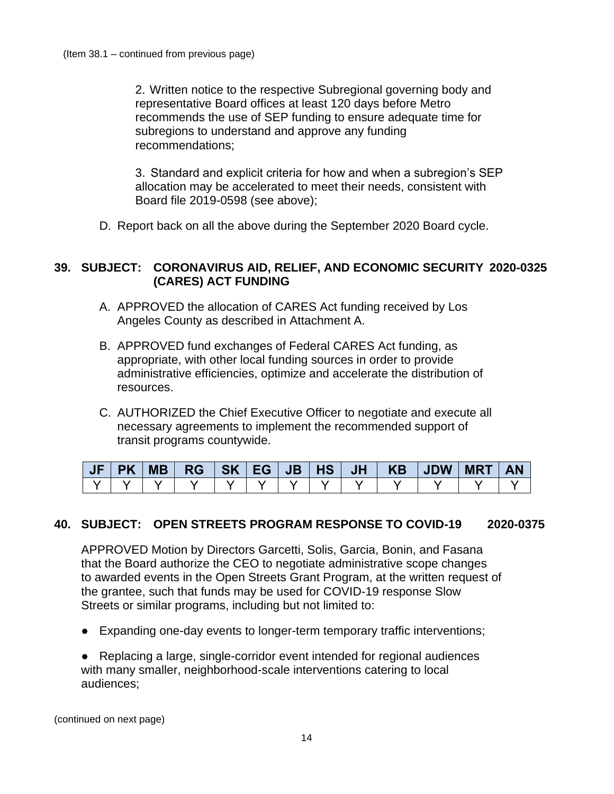2. Written notice to the respective Subregional governing body and representative Board offices at least 120 days before Metro recommends the use of SEP funding to ensure adequate time for subregions to understand and approve any funding recommendations;

3. Standard and explicit criteria for how and when a subregion's SEP allocation may be accelerated to meet their needs, consistent with Board file 2019-0598 (see above);

D. Report back on all the above during the September 2020 Board cycle.

#### **39. SUBJECT: CORONAVIRUS AID, RELIEF, AND ECONOMIC SECURITY 2020-0325 (CARES) ACT FUNDING**

- A. APPROVED the allocation of CARES Act funding received by Los Angeles County as described in Attachment A.
- B. APPROVED fund exchanges of Federal CARES Act funding, as appropriate, with other local funding sources in order to provide administrative efficiencies, optimize and accelerate the distribution of resources.
- C. AUTHORIZED the Chief Executive Officer to negotiate and execute all necessary agreements to implement the recommended support of transit programs countywide.

| <b>PK</b> |  |  |  | MB   RG   SK   EG   JB   HS   JH   KB   JDW   MRT |  | <b>AN</b> |
|-----------|--|--|--|---------------------------------------------------|--|-----------|
|           |  |  |  |                                                   |  |           |

#### **40. SUBJECT: OPEN STREETS PROGRAM RESPONSE TO COVID-19 2020-0375**

APPROVED Motion by Directors Garcetti, Solis, Garcia, Bonin, and Fasana that the Board authorize the CEO to negotiate administrative scope changes to awarded events in the Open Streets Grant Program, at the written request of the grantee, such that funds may be used for COVID-19 response Slow Streets or similar programs, including but not limited to:

- Expanding one-day events to longer-term temporary traffic interventions;
- Replacing a large, single-corridor event intended for regional audiences with many smaller, neighborhood-scale interventions catering to local audiences;